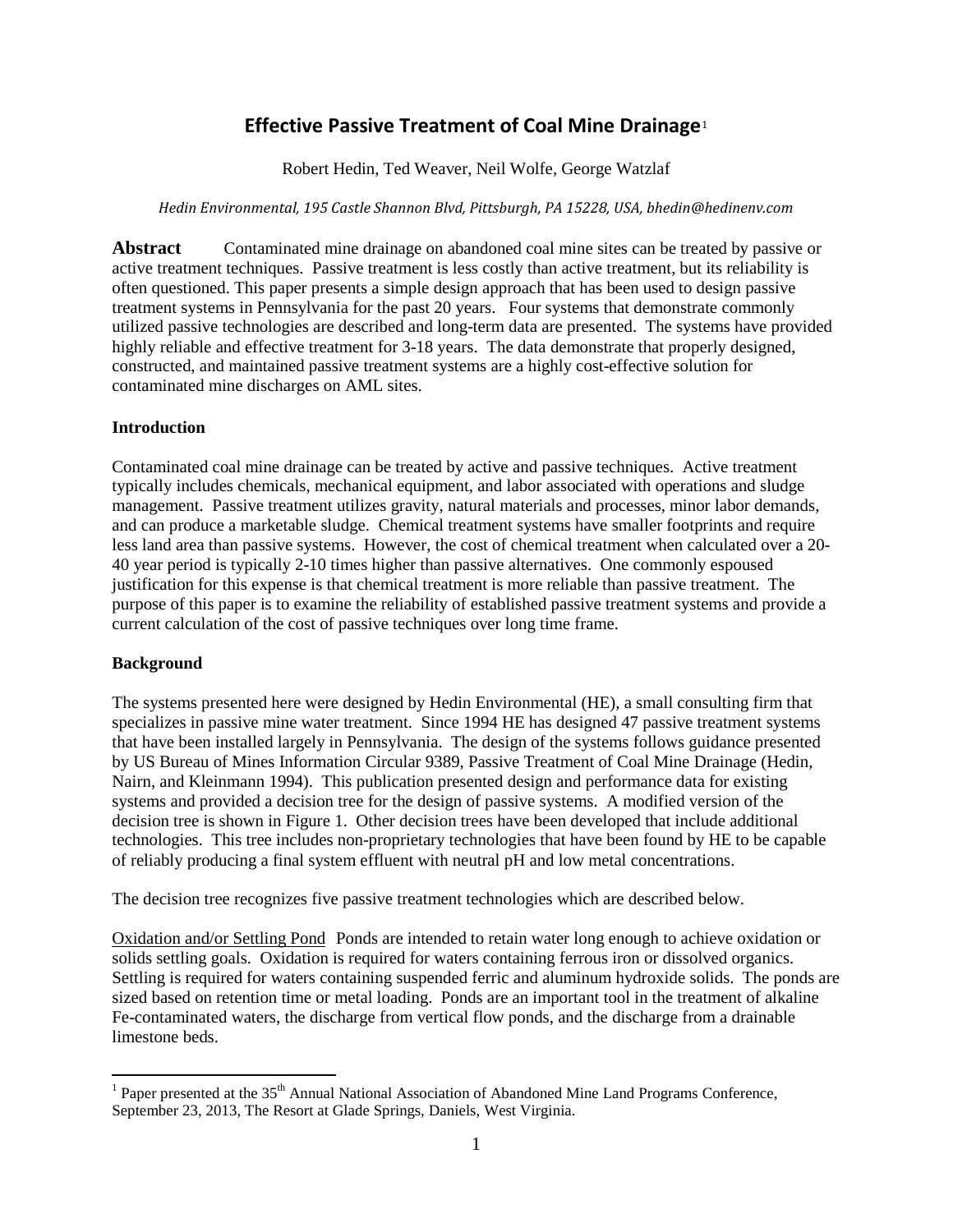# **Effective Passive Treatment of Coal Mine Drainage**[1](#page-0-0)

Robert Hedin, Ted Weaver, Neil Wolfe, George Watzlaf

#### *Hedin Environmental, 195 Castle Shannon Blvd, Pittsburgh, PA 15228, USA, bhedin@hedinenv.com*

Abstract Contaminated mine drainage on abandoned coal mine sites can be treated by passive or active treatment techniques. Passive treatment is less costly than active treatment, but its reliability is often questioned. This paper presents a simple design approach that has been used to design passive treatment systems in Pennsylvania for the past 20 years. Four systems that demonstrate commonly utilized passive technologies are described and long-term data are presented. The systems have provided highly reliable and effective treatment for 3-18 years. The data demonstrate that properly designed, constructed, and maintained passive treatment systems are a highly cost-effective solution for contaminated mine discharges on AML sites.

## **Introduction**

Contaminated coal mine drainage can be treated by active and passive techniques. Active treatment typically includes chemicals, mechanical equipment, and labor associated with operations and sludge management. Passive treatment utilizes gravity, natural materials and processes, minor labor demands, and can produce a marketable sludge. Chemical treatment systems have smaller footprints and require less land area than passive systems. However, the cost of chemical treatment when calculated over a 20- 40 year period is typically 2-10 times higher than passive alternatives. One commonly espoused justification for this expense is that chemical treatment is more reliable than passive treatment. The purpose of this paper is to examine the reliability of established passive treatment systems and provide a current calculation of the cost of passive techniques over long time frame.

## **Background**

The systems presented here were designed by Hedin Environmental (HE), a small consulting firm that specializes in passive mine water treatment. Since 1994 HE has designed 47 passive treatment systems that have been installed largely in Pennsylvania. The design of the systems follows guidance presented by US Bureau of Mines Information Circular 9389, Passive Treatment of Coal Mine Drainage (Hedin, Nairn, and Kleinmann 1994). This publication presented design and performance data for existing systems and provided a decision tree for the design of passive systems. A modified version of the decision tree is shown in Figure 1. Other decision trees have been developed that include additional technologies. This tree includes non-proprietary technologies that have been found by HE to be capable of reliably producing a final system effluent with neutral pH and low metal concentrations.

The decision tree recognizes five passive treatment technologies which are described below.

Oxidation and/or Settling Pond Ponds are intended to retain water long enough to achieve oxidation or solids settling goals. Oxidation is required for waters containing ferrous iron or dissolved organics. Settling is required for waters containing suspended ferric and aluminum hydroxide solids. The ponds are sized based on retention time or metal loading. Ponds are an important tool in the treatment of alkaline Fe-contaminated waters, the discharge from vertical flow ponds, and the discharge from a drainable limestone beds.

<span id="page-0-0"></span> $1$  Paper presented at the 35<sup>th</sup> Annual National Association of Abandoned Mine Land Programs Conference, September 23, 2013, The Resort at Glade Springs, Daniels, West Virginia.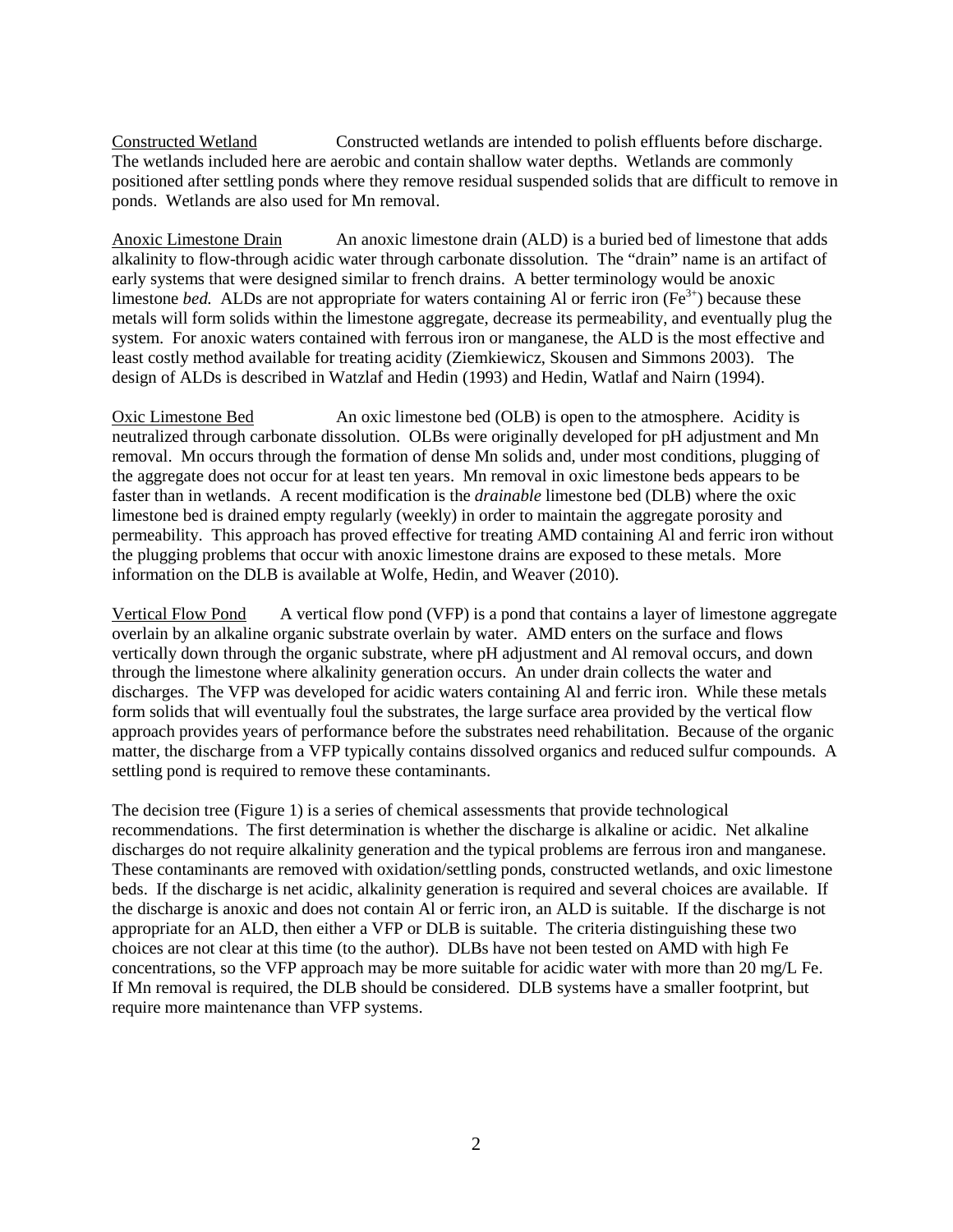Constructed Wetland Constructed wetlands are intended to polish effluents before discharge. The wetlands included here are aerobic and contain shallow water depths. Wetlands are commonly positioned after settling ponds where they remove residual suspended solids that are difficult to remove in ponds. Wetlands are also used for Mn removal.

Anoxic Limestone Drain An anoxic limestone drain (ALD) is a buried bed of limestone that adds alkalinity to flow-through acidic water through carbonate dissolution. The "drain" name is an artifact of early systems that were designed similar to french drains. A better terminology would be anoxic limestone *bed.* ALDs are not appropriate for waters containing Al or ferric iron ( $Fe^{3+}$ ) because these metals will form solids within the limestone aggregate, decrease its permeability, and eventually plug the system. For anoxic waters contained with ferrous iron or manganese, the ALD is the most effective and least costly method available for treating acidity (Ziemkiewicz, Skousen and Simmons 2003). The design of ALDs is described in Watzlaf and Hedin (1993) and Hedin, Watlaf and Nairn (1994).

Oxic Limestone Bed An oxic limestone bed (OLB) is open to the atmosphere. Acidity is neutralized through carbonate dissolution. OLBs were originally developed for pH adjustment and Mn removal. Mn occurs through the formation of dense Mn solids and, under most conditions, plugging of the aggregate does not occur for at least ten years. Mn removal in oxic limestone beds appears to be faster than in wetlands. A recent modification is the *drainable* limestone bed (DLB) where the oxic limestone bed is drained empty regularly (weekly) in order to maintain the aggregate porosity and permeability. This approach has proved effective for treating AMD containing Al and ferric iron without the plugging problems that occur with anoxic limestone drains are exposed to these metals. More information on the DLB is available at Wolfe, Hedin, and Weaver (2010).

Vertical Flow Pond A vertical flow pond (VFP) is a pond that contains a layer of limestone aggregate overlain by an alkaline organic substrate overlain by water. AMD enters on the surface and flows vertically down through the organic substrate, where pH adjustment and Al removal occurs, and down through the limestone where alkalinity generation occurs. An under drain collects the water and discharges. The VFP was developed for acidic waters containing Al and ferric iron. While these metals form solids that will eventually foul the substrates, the large surface area provided by the vertical flow approach provides years of performance before the substrates need rehabilitation. Because of the organic matter, the discharge from a VFP typically contains dissolved organics and reduced sulfur compounds. A settling pond is required to remove these contaminants.

The decision tree (Figure 1) is a series of chemical assessments that provide technological recommendations. The first determination is whether the discharge is alkaline or acidic. Net alkaline discharges do not require alkalinity generation and the typical problems are ferrous iron and manganese. These contaminants are removed with oxidation/settling ponds, constructed wetlands, and oxic limestone beds. If the discharge is net acidic, alkalinity generation is required and several choices are available. If the discharge is anoxic and does not contain Al or ferric iron, an ALD is suitable. If the discharge is not appropriate for an ALD, then either a VFP or DLB is suitable. The criteria distinguishing these two choices are not clear at this time (to the author). DLBs have not been tested on AMD with high Fe concentrations, so the VFP approach may be more suitable for acidic water with more than 20 mg/L Fe. If Mn removal is required, the DLB should be considered. DLB systems have a smaller footprint, but require more maintenance than VFP systems.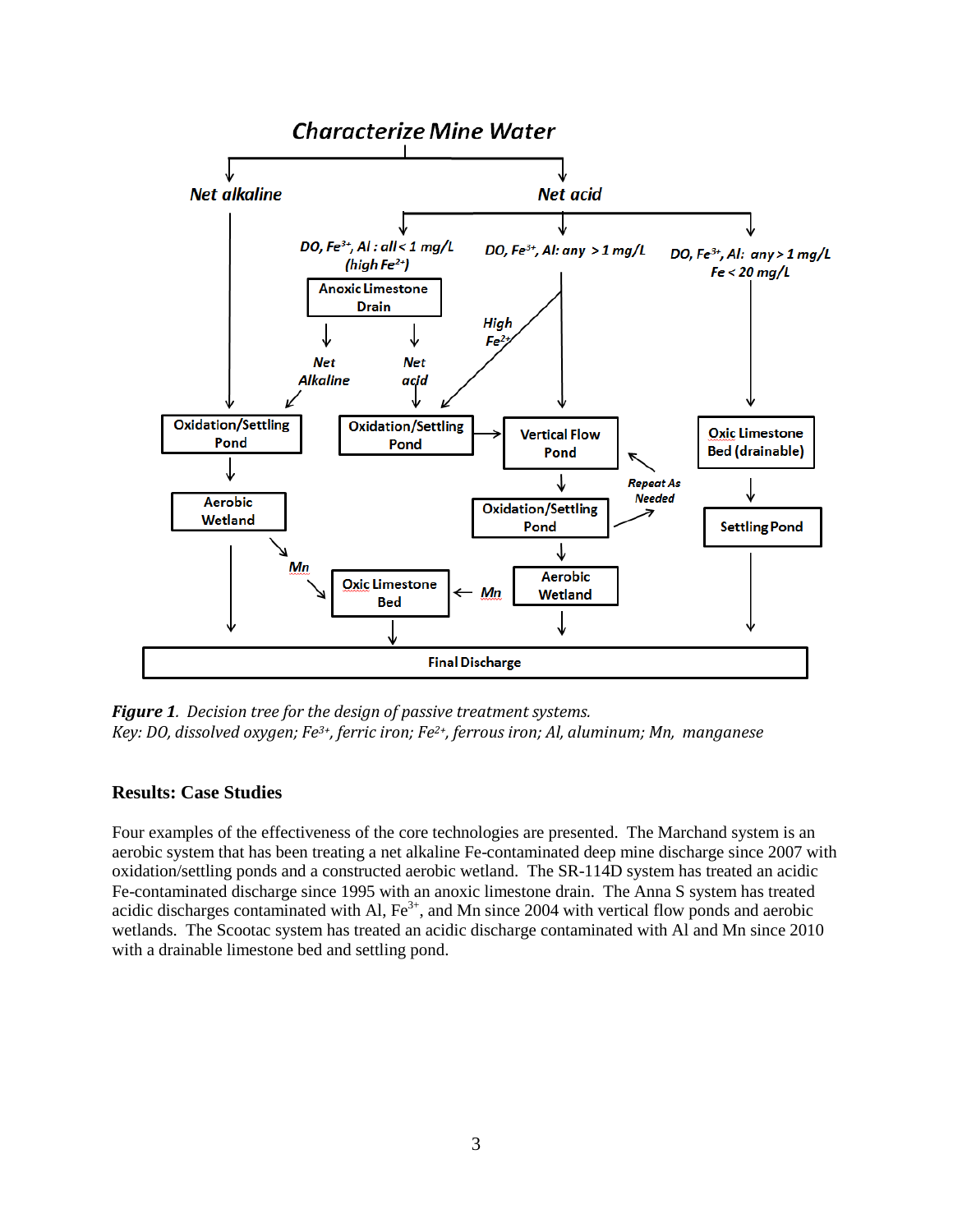

*Figure 1. Decision tree for the design of passive treatment systems. Key: DO, dissolved oxygen; Fe3+, ferric iron; Fe2+, ferrous iron; Al, aluminum; Mn, manganese*

## **Results: Case Studies**

Four examples of the effectiveness of the core technologies are presented. The Marchand system is an aerobic system that has been treating a net alkaline Fe-contaminated deep mine discharge since 2007 with oxidation/settling ponds and a constructed aerobic wetland. The SR-114D system has treated an acidic Fe-contaminated discharge since 1995 with an anoxic limestone drain. The Anna S system has treated acidic discharges contaminated with Al,  $Fe<sup>3+</sup>$ , and Mn since 2004 with vertical flow ponds and aerobic wetlands. The Scootac system has treated an acidic discharge contaminated with Al and Mn since 2010 with a drainable limestone bed and settling pond.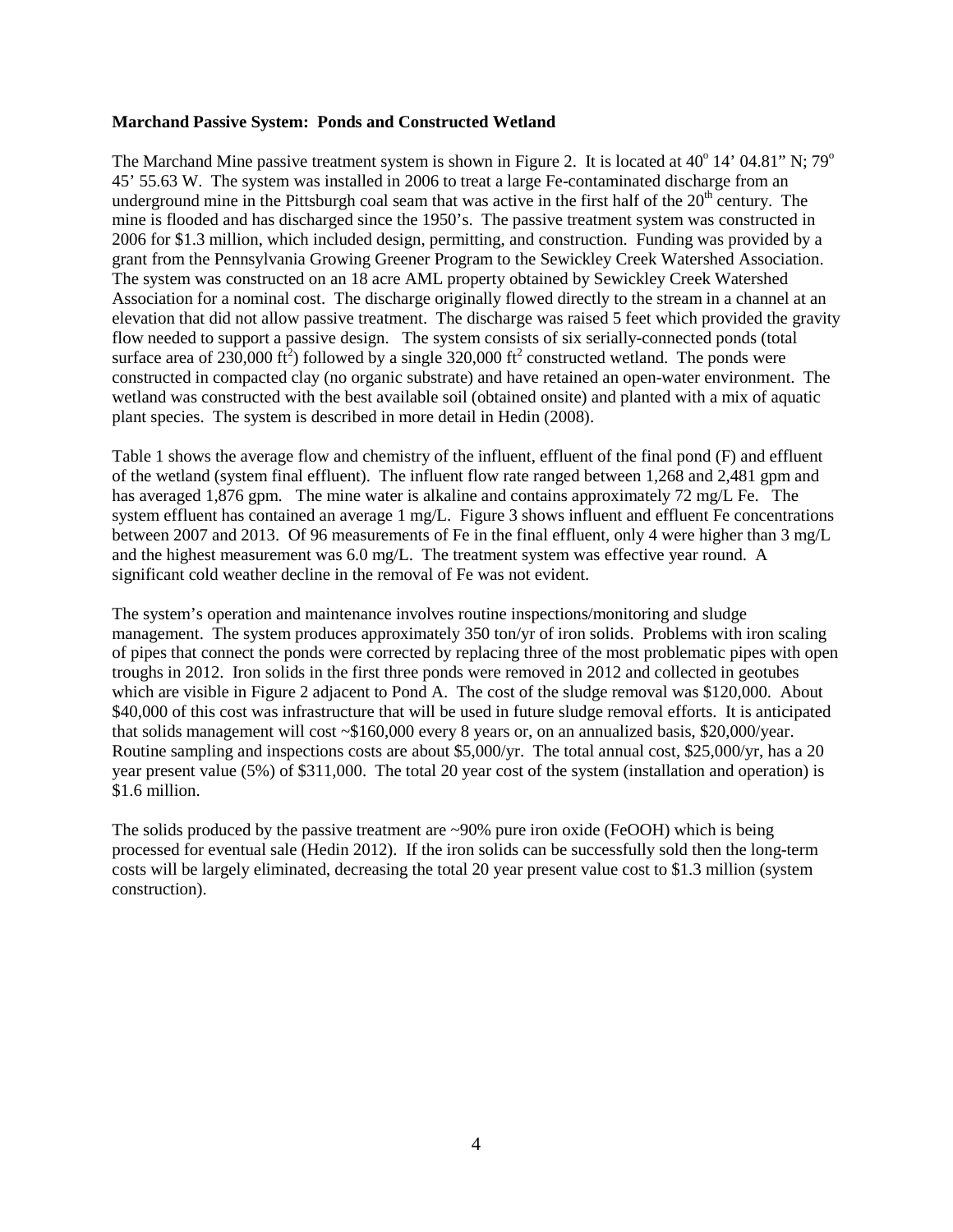#### **Marchand Passive System: Ponds and Constructed Wetland**

The Marchand Mine passive treatment system is shown in Figure 2. It is located at  $40^{\circ}$  14' 04.81" N; 79 $^{\circ}$ 45' 55.63 W. The system was installed in 2006 to treat a large Fe-contaminated discharge from an underground mine in the Pittsburgh coal seam that was active in the first half of the  $20<sup>th</sup>$  century. The mine is flooded and has discharged since the 1950's. The passive treatment system was constructed in 2006 for \$1.3 million, which included design, permitting, and construction. Funding was provided by a grant from the Pennsylvania Growing Greener Program to the Sewickley Creek Watershed Association. The system was constructed on an 18 acre AML property obtained by Sewickley Creek Watershed Association for a nominal cost. The discharge originally flowed directly to the stream in a channel at an elevation that did not allow passive treatment. The discharge was raised 5 feet which provided the gravity flow needed to support a passive design. The system consists of six serially-connected ponds (total surface area of 230,000 ft<sup>2</sup>) followed by a single 320,000 ft<sup>2</sup> constructed wetland. The ponds were constructed in compacted clay (no organic substrate) and have retained an open-water environment. The wetland was constructed with the best available soil (obtained onsite) and planted with a mix of aquatic plant species. The system is described in more detail in Hedin (2008).

Table 1 shows the average flow and chemistry of the influent, effluent of the final pond (F) and effluent of the wetland (system final effluent). The influent flow rate ranged between 1,268 and 2,481 gpm and has averaged 1,876 gpm. The mine water is alkaline and contains approximately 72 mg/L Fe. The system effluent has contained an average 1 mg/L. Figure 3 shows influent and effluent Fe concentrations between 2007 and 2013. Of 96 measurements of Fe in the final effluent, only 4 were higher than 3 mg/L and the highest measurement was 6.0 mg/L. The treatment system was effective year round. A significant cold weather decline in the removal of Fe was not evident.

The system's operation and maintenance involves routine inspections/monitoring and sludge management. The system produces approximately 350 ton/yr of iron solids. Problems with iron scaling of pipes that connect the ponds were corrected by replacing three of the most problematic pipes with open troughs in 2012. Iron solids in the first three ponds were removed in 2012 and collected in geotubes which are visible in Figure 2 adjacent to Pond A. The cost of the sludge removal was \$120,000. About \$40,000 of this cost was infrastructure that will be used in future sludge removal efforts. It is anticipated that solids management will cost ~\$160,000 every 8 years or, on an annualized basis, \$20,000/year. Routine sampling and inspections costs are about \$5,000/yr. The total annual cost, \$25,000/yr, has a 20 year present value (5%) of \$311,000. The total 20 year cost of the system (installation and operation) is \$1.6 million.

The solids produced by the passive treatment are ~90% pure iron oxide (FeOOH) which is being processed for eventual sale (Hedin 2012). If the iron solids can be successfully sold then the long-term costs will be largely eliminated, decreasing the total 20 year present value cost to \$1.3 million (system construction).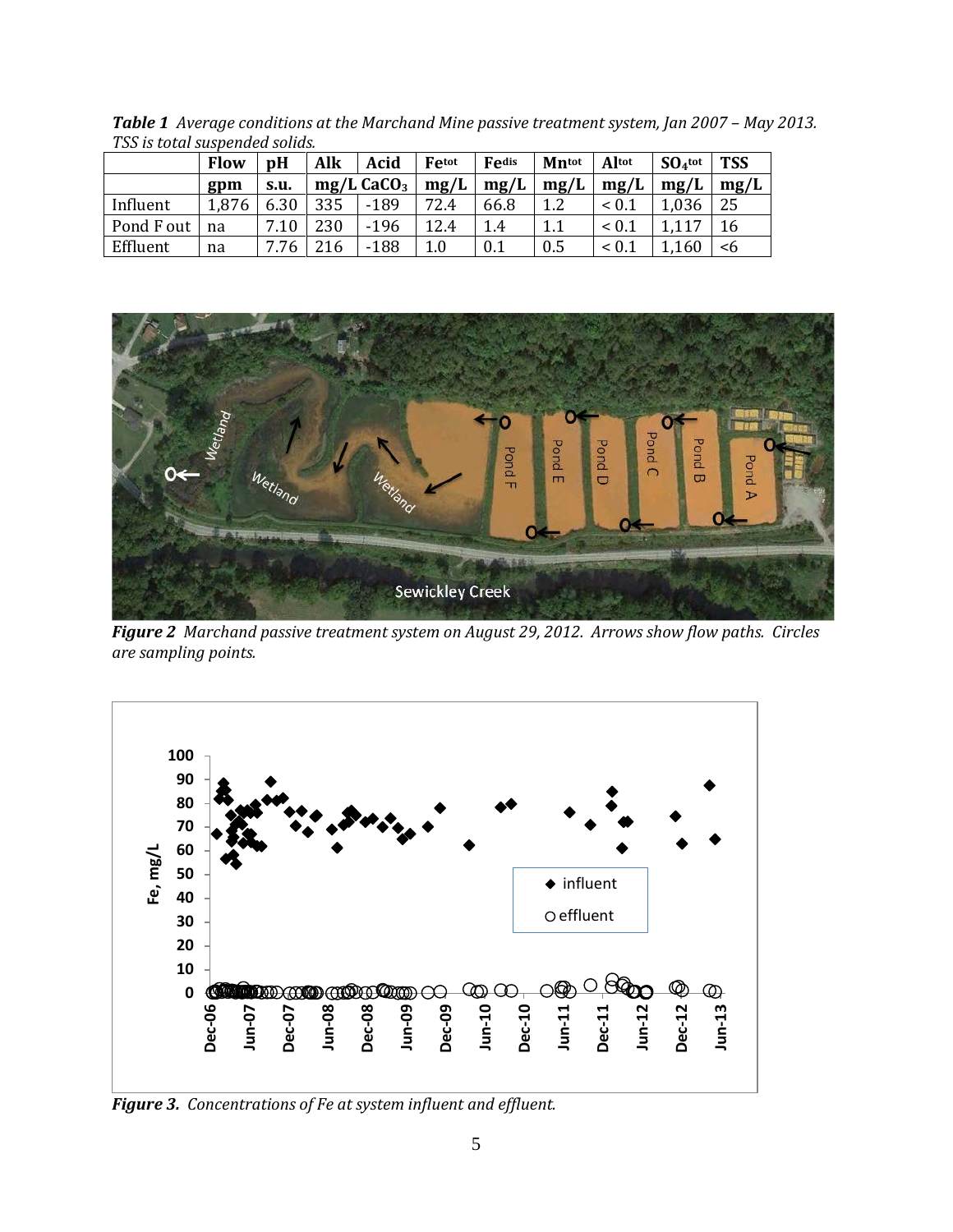| тээ нэ сосаг эаэрстаса эонаэ. |             |      |     |                          |       |       |              |                 |           |            |  |
|-------------------------------|-------------|------|-----|--------------------------|-------|-------|--------------|-----------------|-----------|------------|--|
|                               | <b>Flow</b> | pH   | Alk | Acid                     | Fetot | Fedis | <b>Mntot</b> | Altot           | $SO4$ tot | <b>TSS</b> |  |
|                               | gpm         | S.U. |     | $mg/L$ CaCO <sub>3</sub> | mg/L  | mg/L  | mg/L         | mg/L            | mg/L      | mg/L       |  |
| Influent                      | 1,876       | 6.30 | 335 | $-189$                   | 72.4  | 66.8  | 1.2          | ${}< 0.1$       | 1,036     | 25         |  |
| Pond F out                    | na          | 7.10 | 230 | $-196$                   | 12.4  | 1.4   | 1.1          | ${}< 0.1$       | 117       | 16         |  |
| Effluent                      | na          | 7.76 | 216 | $-188$                   | 1.0   | 0.1   | 0.5          | ${}_{\leq 0.1}$ | .160      | <6         |  |

*Table 1 Average conditions at the Marchand Mine passive treatment system, Jan 2007 – May 2013. TSS is total suspended solids.* 



*Figure 2 Marchand passive treatment system on August 29, 2012. Arrows show flow paths. Circles are sampling points.* 



*Figure 3. Concentrations of Fe at system influent and effluent.*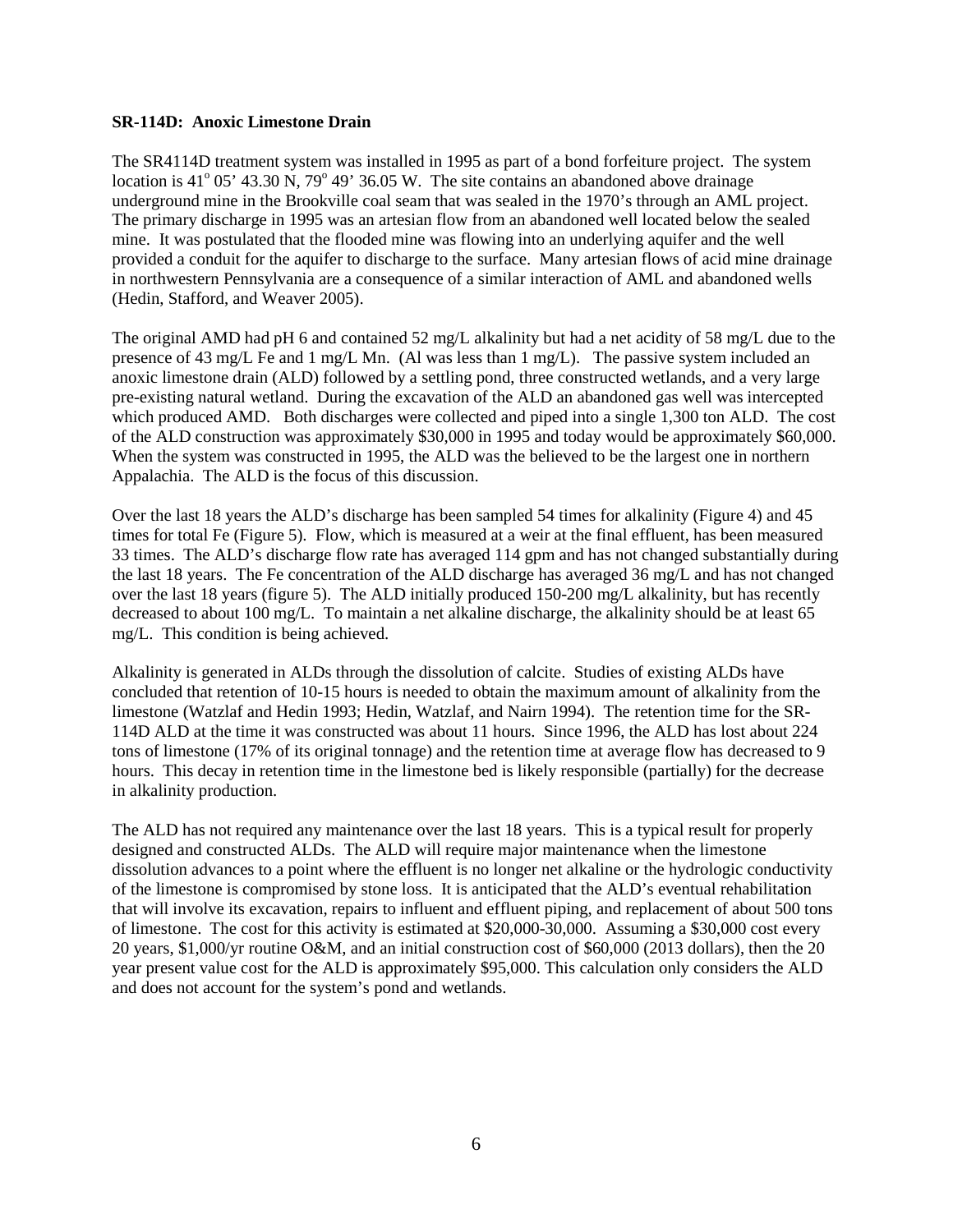#### **SR-114D: Anoxic Limestone Drain**

The SR4114D treatment system was installed in 1995 as part of a bond forfeiture project. The system location is  $41^{\circ}$  05' 43.30 N, 79 $^{\circ}$  49' 36.05 W. The site contains an abandoned above drainage underground mine in the Brookville coal seam that was sealed in the 1970's through an AML project. The primary discharge in 1995 was an artesian flow from an abandoned well located below the sealed mine. It was postulated that the flooded mine was flowing into an underlying aquifer and the well provided a conduit for the aquifer to discharge to the surface. Many artesian flows of acid mine drainage in northwestern Pennsylvania are a consequence of a similar interaction of AML and abandoned wells (Hedin, Stafford, and Weaver 2005).

The original AMD had pH 6 and contained 52 mg/L alkalinity but had a net acidity of 58 mg/L due to the presence of 43 mg/L Fe and 1 mg/L Mn. (Al was less than 1 mg/L). The passive system included an anoxic limestone drain (ALD) followed by a settling pond, three constructed wetlands, and a very large pre-existing natural wetland. During the excavation of the ALD an abandoned gas well was intercepted which produced AMD. Both discharges were collected and piped into a single 1,300 ton ALD. The cost of the ALD construction was approximately \$30,000 in 1995 and today would be approximately \$60,000. When the system was constructed in 1995, the ALD was the believed to be the largest one in northern Appalachia. The ALD is the focus of this discussion.

Over the last 18 years the ALD's discharge has been sampled 54 times for alkalinity (Figure 4) and 45 times for total Fe (Figure 5). Flow, which is measured at a weir at the final effluent, has been measured 33 times. The ALD's discharge flow rate has averaged 114 gpm and has not changed substantially during the last 18 years. The Fe concentration of the ALD discharge has averaged 36 mg/L and has not changed over the last 18 years (figure 5). The ALD initially produced 150-200 mg/L alkalinity, but has recently decreased to about 100 mg/L. To maintain a net alkaline discharge, the alkalinity should be at least 65 mg/L. This condition is being achieved.

Alkalinity is generated in ALDs through the dissolution of calcite. Studies of existing ALDs have concluded that retention of 10-15 hours is needed to obtain the maximum amount of alkalinity from the limestone (Watzlaf and Hedin 1993; Hedin, Watzlaf, and Nairn 1994). The retention time for the SR-114D ALD at the time it was constructed was about 11 hours. Since 1996, the ALD has lost about 224 tons of limestone (17% of its original tonnage) and the retention time at average flow has decreased to 9 hours. This decay in retention time in the limestone bed is likely responsible (partially) for the decrease in alkalinity production.

The ALD has not required any maintenance over the last 18 years. This is a typical result for properly designed and constructed ALDs. The ALD will require major maintenance when the limestone dissolution advances to a point where the effluent is no longer net alkaline or the hydrologic conductivity of the limestone is compromised by stone loss. It is anticipated that the ALD's eventual rehabilitation that will involve its excavation, repairs to influent and effluent piping, and replacement of about 500 tons of limestone. The cost for this activity is estimated at \$20,000-30,000. Assuming a \$30,000 cost every 20 years, \$1,000/yr routine O&M, and an initial construction cost of \$60,000 (2013 dollars), then the 20 year present value cost for the ALD is approximately \$95,000. This calculation only considers the ALD and does not account for the system's pond and wetlands.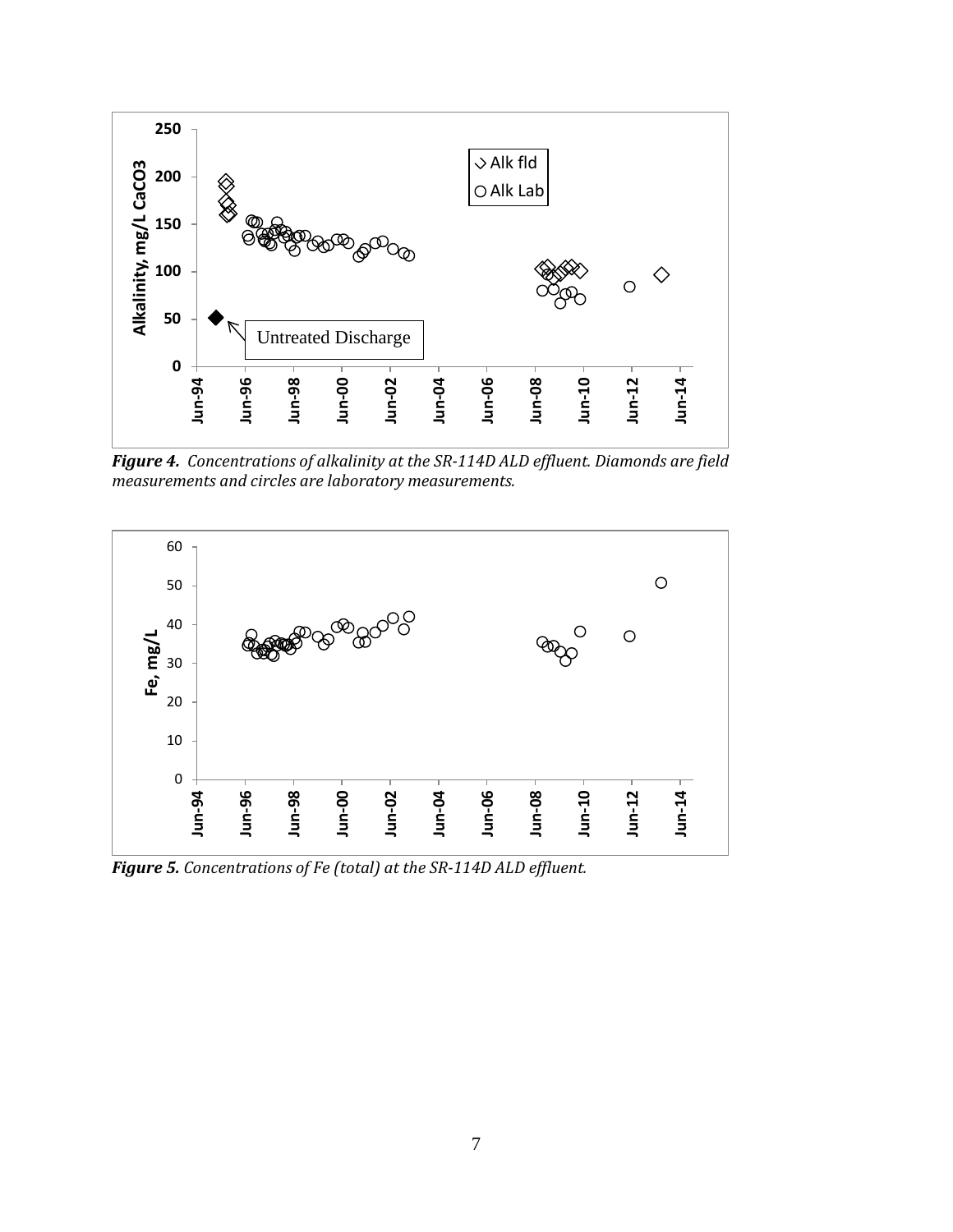

*Figure 4. Concentrations of alkalinity at the SR-114D ALD effluent. Diamonds are field measurements and circles are laboratory measurements.*



*Figure 5. Concentrations of Fe (total) at the SR-114D ALD effluent.*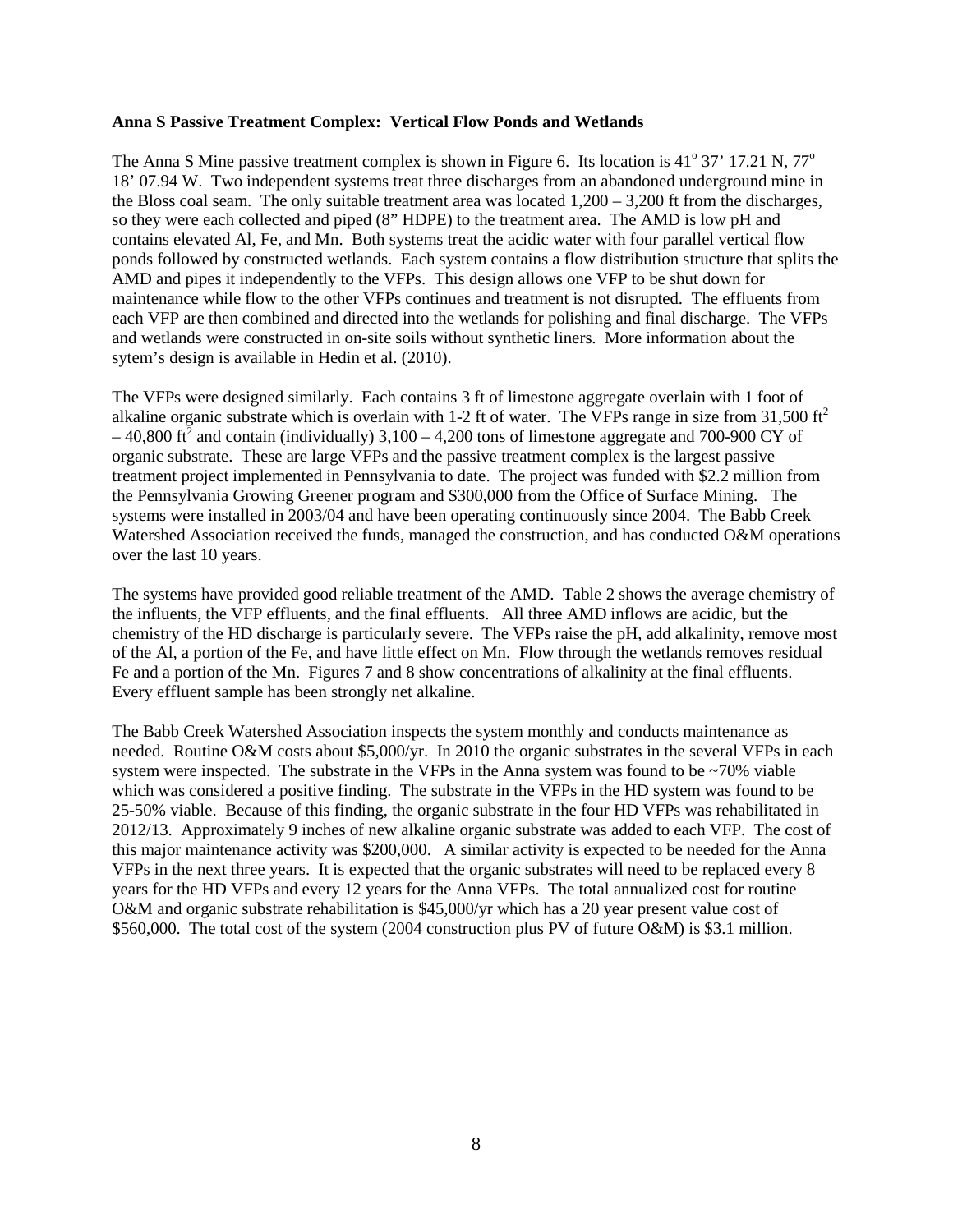#### **Anna S Passive Treatment Complex: Vertical Flow Ponds and Wetlands**

The Anna S Mine passive treatment complex is shown in Figure 6. Its location is 41 $\degree$  37' 17.21 N, 77 $\degree$ 18' 07.94 W. Two independent systems treat three discharges from an abandoned underground mine in the Bloss coal seam. The only suitable treatment area was located  $1.200 - 3.200$  ft from the discharges, so they were each collected and piped (8" HDPE) to the treatment area. The AMD is low pH and contains elevated Al, Fe, and Mn. Both systems treat the acidic water with four parallel vertical flow ponds followed by constructed wetlands. Each system contains a flow distribution structure that splits the AMD and pipes it independently to the VFPs. This design allows one VFP to be shut down for maintenance while flow to the other VFPs continues and treatment is not disrupted. The effluents from each VFP are then combined and directed into the wetlands for polishing and final discharge. The VFPs and wetlands were constructed in on-site soils without synthetic liners. More information about the sytem's design is available in Hedin et al. (2010).

The VFPs were designed similarly. Each contains 3 ft of limestone aggregate overlain with 1 foot of alkaline organic substrate which is overlain with 1-2 ft of water. The VFPs range in size from  $31,500 \text{ ft}^2$  $-40,800$  ft<sup>2</sup> and contain (individually) 3,100 – 4,200 tons of limestone aggregate and 700-900 CY of organic substrate. These are large VFPs and the passive treatment complex is the largest passive treatment project implemented in Pennsylvania to date. The project was funded with \$2.2 million from the Pennsylvania Growing Greener program and \$300,000 from the Office of Surface Mining. The systems were installed in 2003/04 and have been operating continuously since 2004. The Babb Creek Watershed Association received the funds, managed the construction, and has conducted O&M operations over the last 10 years.

The systems have provided good reliable treatment of the AMD. Table 2 shows the average chemistry of the influents, the VFP effluents, and the final effluents. All three AMD inflows are acidic, but the chemistry of the HD discharge is particularly severe. The VFPs raise the pH, add alkalinity, remove most of the Al, a portion of the Fe, and have little effect on Mn. Flow through the wetlands removes residual Fe and a portion of the Mn. Figures 7 and 8 show concentrations of alkalinity at the final effluents. Every effluent sample has been strongly net alkaline.

The Babb Creek Watershed Association inspects the system monthly and conducts maintenance as needed. Routine O&M costs about \$5,000/yr. In 2010 the organic substrates in the several VFPs in each system were inspected. The substrate in the VFPs in the Anna system was found to be  $\sim$ 70% viable which was considered a positive finding. The substrate in the VFPs in the HD system was found to be 25-50% viable. Because of this finding, the organic substrate in the four HD VFPs was rehabilitated in 2012/13. Approximately 9 inches of new alkaline organic substrate was added to each VFP. The cost of this major maintenance activity was \$200,000. A similar activity is expected to be needed for the Anna VFPs in the next three years. It is expected that the organic substrates will need to be replaced every 8 years for the HD VFPs and every 12 years for the Anna VFPs. The total annualized cost for routine O&M and organic substrate rehabilitation is \$45,000/yr which has a 20 year present value cost of \$560,000. The total cost of the system (2004 construction plus PV of future O&M) is \$3.1 million.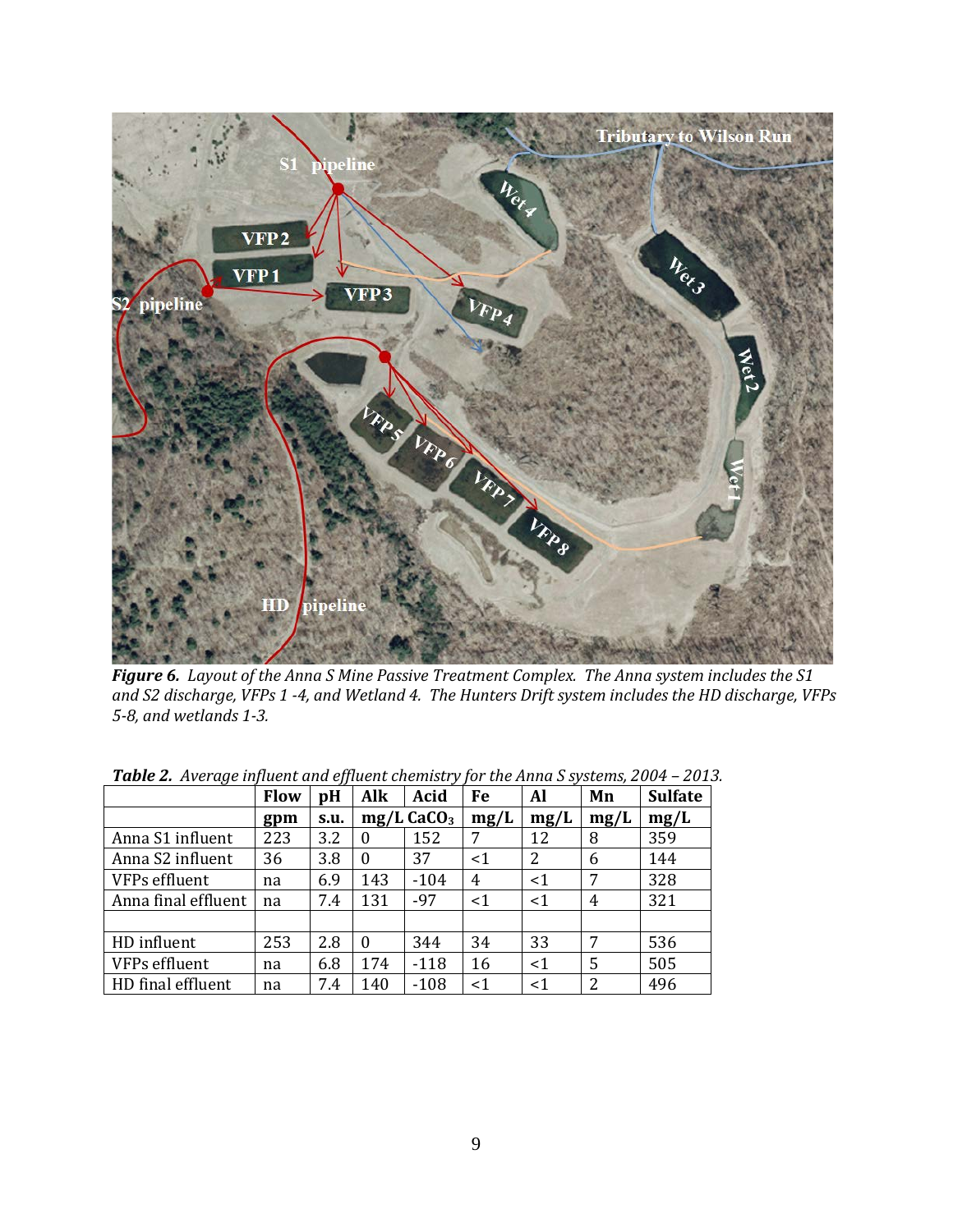

*Figure 6. Layout of the Anna S Mine Passive Treatment Complex. The Anna system includes the S1 and S2 discharge, VFPs 1 -4, and Wetland 4. The Hunters Drift system includes the HD discharge, VFPs 5-8, and wetlands 1-3.*

|                     | Flow | pH   | Alk      | Acid                     | Fe    | Al    | Mn   | <b>Sulfate</b> |
|---------------------|------|------|----------|--------------------------|-------|-------|------|----------------|
|                     | gpm  | s.u. |          | $mg/L$ CaCO <sub>3</sub> | mg/L  | mg/L  | mg/L | mg/L           |
| Anna S1 influent    | 223  | 3.2  | $\theta$ | 152                      | 7     | 12    | 8    | 359            |
| Anna S2 influent    | 36   | 3.8  | $\Omega$ | 37                       | $<$ 1 | 2     | 6    | 144            |
| VFPs effluent       | na   | 6.9  | 143      | $-104$                   | 4     | $<$ 1 | 7    | 328            |
| Anna final effluent | na   | 7.4  | 131      | $-97$                    | $<$ 1 | <1    | 4    | 321            |
|                     |      |      |          |                          |       |       |      |                |
| HD influent         | 253  | 2.8  | $\theta$ | 344                      | 34    | 33    | 7    | 536            |
| VFPs effluent       | na   | 6.8  | 174      | $-118$                   | 16    | $<$ 1 | 5    | 505            |
| HD final effluent   | na   | 7.4  | 140      | $-108$                   | <1    | $<$ 1 | 2    | 496            |

*Table 2. Average influent and effluent chemistry for the Anna S systems, 2004 – 2013.*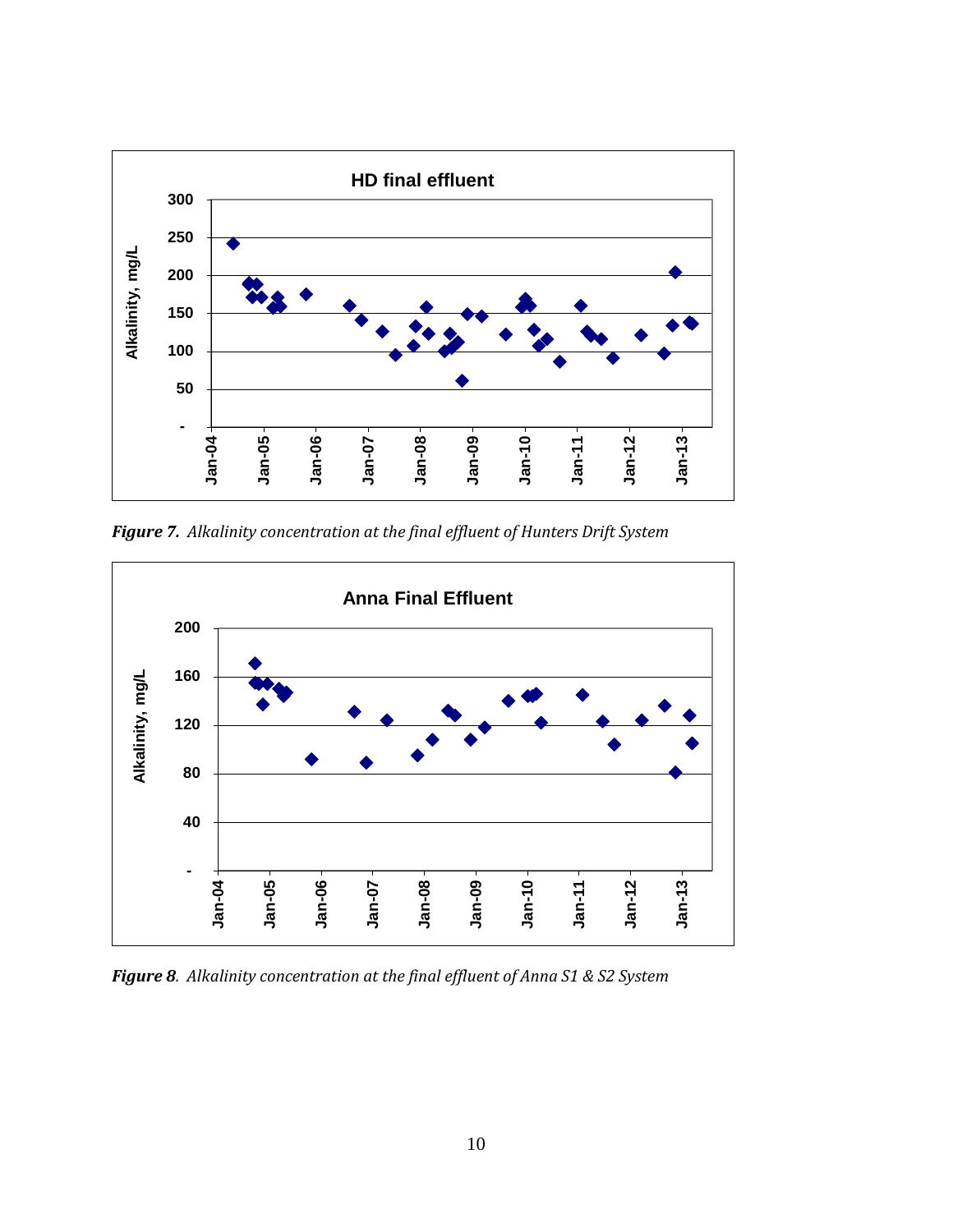

*Figure 7. Alkalinity concentration at the final effluent of Hunters Drift System*



*Figure 8. Alkalinity concentration at the final effluent of Anna S1 & S2 System*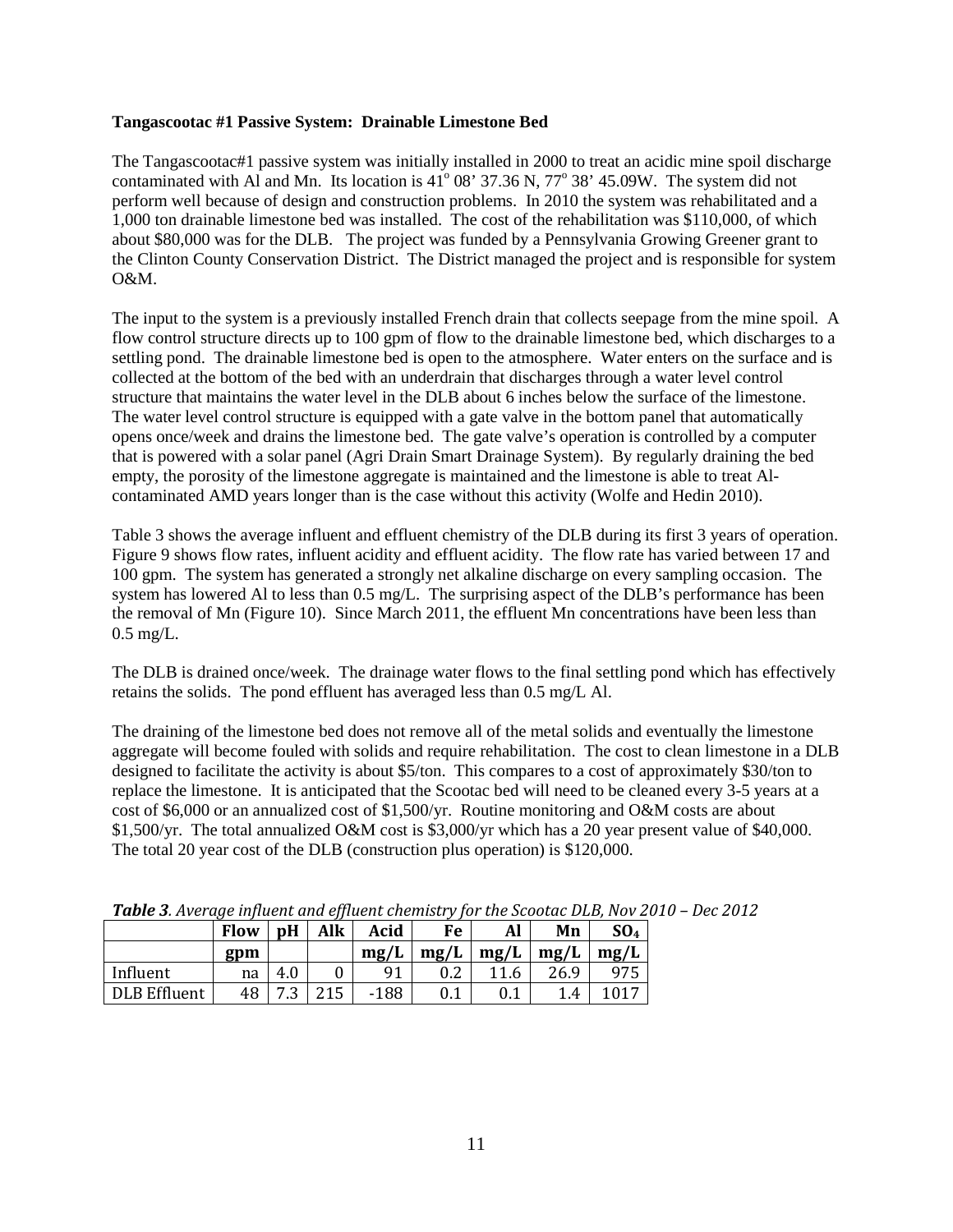#### **Tangascootac #1 Passive System: Drainable Limestone Bed**

The Tangascootac#1 passive system was initially installed in 2000 to treat an acidic mine spoil discharge contaminated with Al and Mn. Its location is  $41^{\circ}$  08' 37.36 N, 77° 38' 45.09W. The system did not perform well because of design and construction problems. In 2010 the system was rehabilitated and a 1,000 ton drainable limestone bed was installed. The cost of the rehabilitation was \$110,000, of which about \$80,000 was for the DLB. The project was funded by a Pennsylvania Growing Greener grant to the Clinton County Conservation District. The District managed the project and is responsible for system O&M.

The input to the system is a previously installed French drain that collects seepage from the mine spoil. A flow control structure directs up to 100 gpm of flow to the drainable limestone bed, which discharges to a settling pond. The drainable limestone bed is open to the atmosphere. Water enters on the surface and is collected at the bottom of the bed with an underdrain that discharges through a water level control structure that maintains the water level in the DLB about 6 inches below the surface of the limestone. The water level control structure is equipped with a gate valve in the bottom panel that automatically opens once/week and drains the limestone bed. The gate valve's operation is controlled by a computer that is powered with a solar panel (Agri Drain Smart Drainage System). By regularly draining the bed empty, the porosity of the limestone aggregate is maintained and the limestone is able to treat Alcontaminated AMD years longer than is the case without this activity (Wolfe and Hedin 2010).

Table 3 shows the average influent and effluent chemistry of the DLB during its first 3 years of operation. Figure 9 shows flow rates, influent acidity and effluent acidity. The flow rate has varied between 17 and 100 gpm. The system has generated a strongly net alkaline discharge on every sampling occasion. The system has lowered Al to less than 0.5 mg/L. The surprising aspect of the DLB's performance has been the removal of Mn (Figure 10). Since March 2011, the effluent Mn concentrations have been less than 0.5 mg/L.

The DLB is drained once/week. The drainage water flows to the final settling pond which has effectively retains the solids. The pond effluent has averaged less than 0.5 mg/L Al.

The draining of the limestone bed does not remove all of the metal solids and eventually the limestone aggregate will become fouled with solids and require rehabilitation. The cost to clean limestone in a DLB designed to facilitate the activity is about \$5/ton. This compares to a cost of approximately \$30/ton to replace the limestone. It is anticipated that the Scootac bed will need to be cleaned every 3-5 years at a cost of \$6,000 or an annualized cost of \$1,500/yr. Routine monitoring and O&M costs are about \$1,500/yr. The total annualized O&M cost is \$3,000/yr which has a 20 year present value of \$40,000. The total 20 year cost of the DLB (construction plus operation) is \$120,000.

|                     | <b>Flow</b> | pH            | Alk | Acid   | Fe      | Al      | Mn                        | SO <sub>4</sub> |
|---------------------|-------------|---------------|-----|--------|---------|---------|---------------------------|-----------------|
|                     | gpm         |               |     | mg/L   | mg/L    | mg/L    | mg/L                      | mg/L            |
| Influent            | na          | 4.0           |     | 91     | $0.2\,$ | 11.6    | 26.9                      | 975             |
| <b>DLB</b> Effluent | 48          | ີ<br>⇁<br>. ت | 215 | $-188$ |         | $0.1\,$ | $\boldsymbol{\varLambda}$ |                 |

*Table 3. Average influent and effluent chemistry for the Scootac DLB, Nov 2010 – Dec 2012*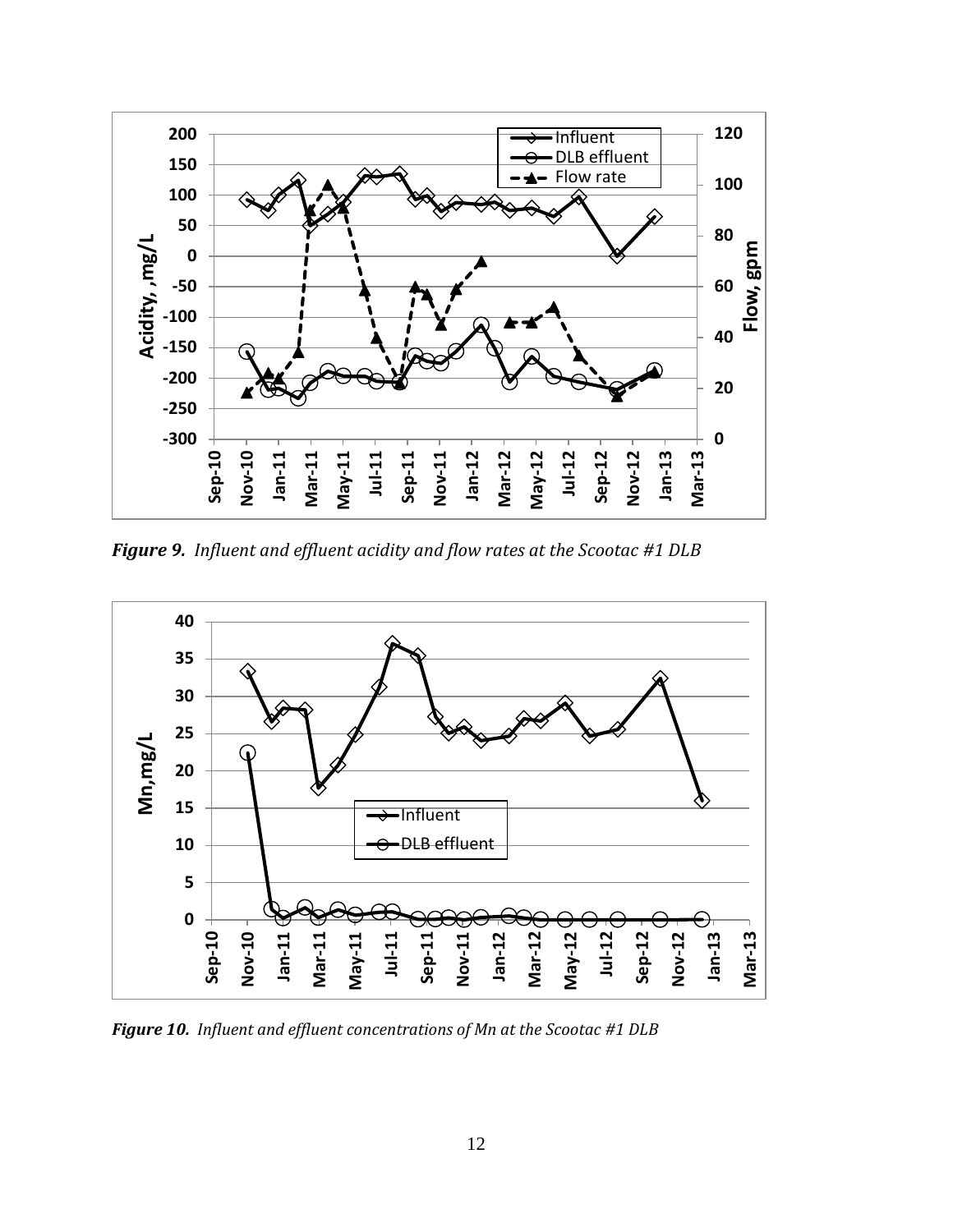

*Figure 9. Influent and effluent acidity and flow rates at the Scootac #1 DLB*



*Figure 10. Influent and effluent concentrations of Mn at the Scootac #1 DLB*